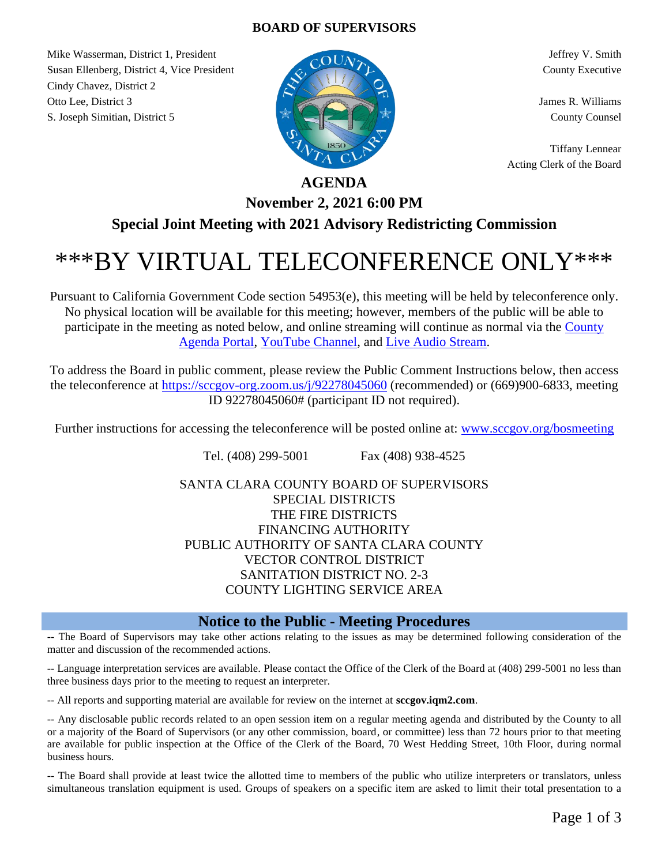### **BOARD OF SUPERVISORS**

Mike Wasserman, District 1, President Jeffrey V. Smith Jeffrey V. Smith Susan Ellenberg, District 4, Vice President County Executive County Executive Cindy Chavez, District 2 Otto Lee, District 3 James R. Williams S. Joseph Simitian, District 5 County Counsel



Tiffany Lennear Acting Clerk of the Board

# **AGENDA**

# **November 2, 2021 6:00 PM Special Joint Meeting with 2021 Advisory Redistricting Commission**

# \*\*\*BY VIRTUAL TELECONFERENCE ONLY\*\*\*

Pursuant to California Government Code section 54953(e), this meeting will be held by teleconference only. No physical location will be available for this meeting; however, members of the public will be able to participate in the meeting as noted below, and online streaming will continue as normal via the [County](http://sccgov.iqm2.com/Citizens/default.aspx?departmentid=1179&frame=no)  [Agenda Portal,](http://sccgov.iqm2.com/Citizens/default.aspx?departmentid=1179&frame=no) [YouTube Channel,](https://www.youtube.com/channel/UCF4DoI6Shq5PtVGaQRrAerw) and [Live Audio Stream.](http://listen.shoutcast.com/SCC-BOS-Chambers-Livestream.m3u)

To address the Board in public comment, please review the Public Comment Instructions below, then access the teleconference at<https://sccgov-org.zoom.us/j/92278045060> (recommended) or (669)900-6833, meeting ID 92278045060# (participant ID not required).

Further instructions for accessing the teleconference will be posted online at: [www.sccgov.org/bosmeeting](http://www.sccgov.org/bosmeeting)

Tel. (408) 299-5001 Fax (408) 938-4525

SANTA CLARA COUNTY BOARD OF SUPERVISORS SPECIAL DISTRICTS THE FIRE DISTRICTS FINANCING AUTHORITY PUBLIC AUTHORITY OF SANTA CLARA COUNTY VECTOR CONTROL DISTRICT SANITATION DISTRICT NO. 2-3 COUNTY LIGHTING SERVICE AREA

## **Notice to the Public - Meeting Procedures**

-- The Board of Supervisors may take other actions relating to the issues as may be determined following consideration of the matter and discussion of the recommended actions.

-- Language interpretation services are available. Please contact the Office of the Clerk of the Board at (408) 299-5001 no less than three business days prior to the meeting to request an interpreter.

-- All reports and supporting material are available for review on the internet at **sccgov.iqm2.com**.

-- Any disclosable public records related to an open session item on a regular meeting agenda and distributed by the County to all or a majority of the Board of Supervisors (or any other commission, board, or committee) less than 72 hours prior to that meeting are available for public inspection at the Office of the Clerk of the Board, 70 West Hedding Street, 10th Floor, during normal business hours.

-- The Board shall provide at least twice the allotted time to members of the public who utilize interpreters or translators, unless simultaneous translation equipment is used. Groups of speakers on a specific item are asked to limit their total presentation to a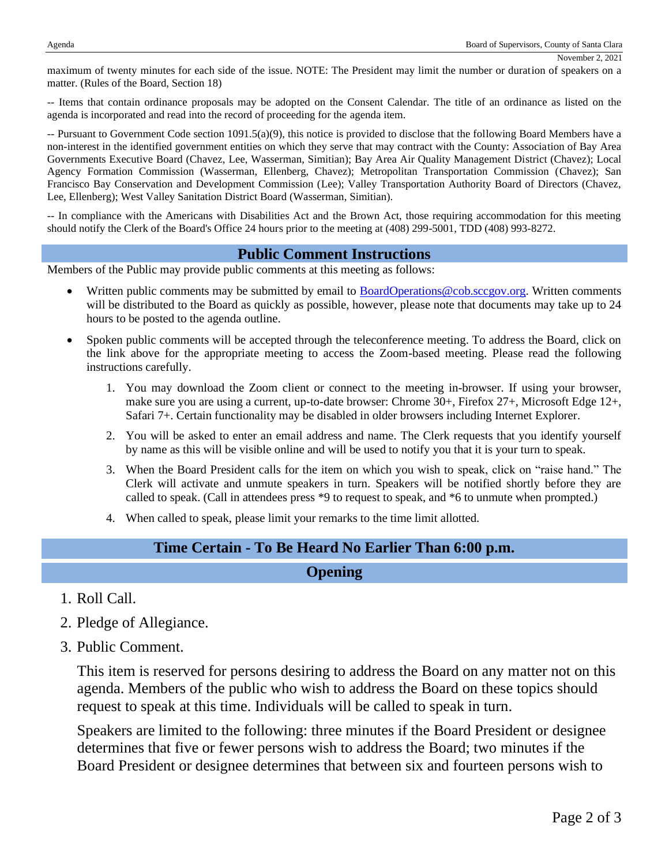maximum of twenty minutes for each side of the issue. NOTE: The President may limit the number or duration of speakers on a matter. (Rules of the Board, Section 18)

-- Items that contain ordinance proposals may be adopted on the Consent Calendar. The title of an ordinance as listed on the agenda is incorporated and read into the record of proceeding for the agenda item.

-- Pursuant to Government Code section 1091.5(a)(9), this notice is provided to disclose that the following Board Members have a non-interest in the identified government entities on which they serve that may contract with the County: Association of Bay Area Governments Executive Board (Chavez, Lee, Wasserman, Simitian); Bay Area Air Quality Management District (Chavez); Local Agency Formation Commission (Wasserman, Ellenberg, Chavez); Metropolitan Transportation Commission (Chavez); San Francisco Bay Conservation and Development Commission (Lee); Valley Transportation Authority Board of Directors (Chavez, Lee, Ellenberg); West Valley Sanitation District Board (Wasserman, Simitian).

-- In compliance with the Americans with Disabilities Act and the Brown Act, those requiring accommodation for this meeting should notify the Clerk of the Board's Office 24 hours prior to the meeting at (408) 299-5001, TDD (408) 993-8272.

#### **Public Comment Instructions**

Members of the Public may provide public comments at this meeting as follows:

- Written public comments may be submitted by email to **BoardOperations@cob.sccgov.org.** Written comments will be distributed to the Board as quickly as possible, however, please note that documents may take up to 24 hours to be posted to the agenda outline.
- Spoken public comments will be accepted through the teleconference meeting. To address the Board, click on the link above for the appropriate meeting to access the Zoom-based meeting. Please read the following instructions carefully.
	- 1. You may download the Zoom client or connect to the meeting in-browser. If using your browser, make sure you are using a current, up-to-date browser: Chrome 30+, Firefox 27+, Microsoft Edge 12+, Safari 7+. Certain functionality may be disabled in older browsers including Internet Explorer.
	- 2. You will be asked to enter an email address and name. The Clerk requests that you identify yourself by name as this will be visible online and will be used to notify you that it is your turn to speak.
	- 3. When the Board President calls for the item on which you wish to speak, click on "raise hand." The Clerk will activate and unmute speakers in turn. Speakers will be notified shortly before they are called to speak. (Call in attendees press \*9 to request to speak, and \*6 to unmute when prompted.)
	- 4. When called to speak, please limit your remarks to the time limit allotted.

#### **Time Certain - To Be Heard No Earlier Than 6:00 p.m.**

#### **Opening**

- 1. Roll Call.
- 2. Pledge of Allegiance.
- 3. Public Comment.

This item is reserved for persons desiring to address the Board on any matter not on this agenda. Members of the public who wish to address the Board on these topics should request to speak at this time. Individuals will be called to speak in turn.

Speakers are limited to the following: three minutes if the Board President or designee determines that five or fewer persons wish to address the Board; two minutes if the Board President or designee determines that between six and fourteen persons wish to